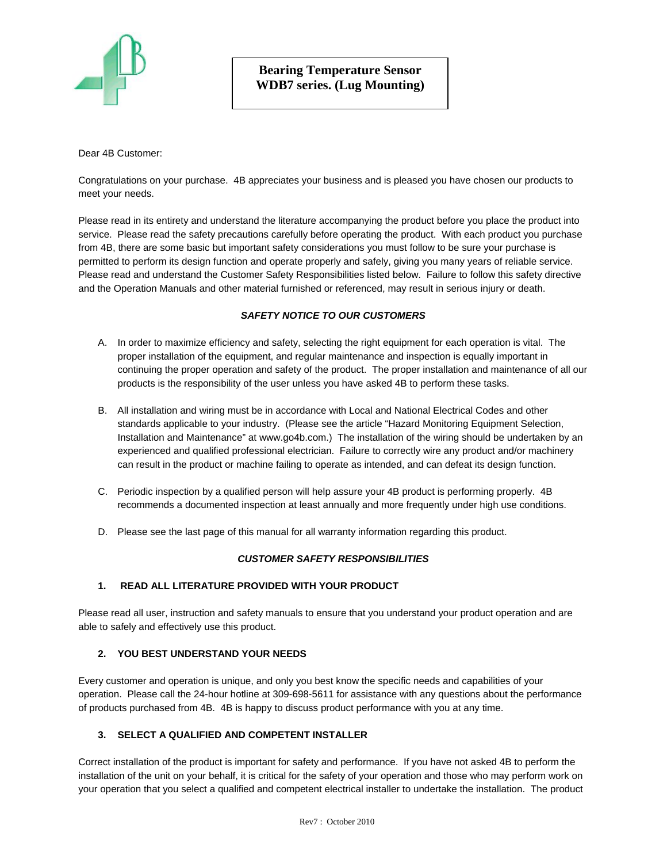

Dear 4B Customer:

Congratulations on your purchase. 4B appreciates your business and is pleased you have chosen our products to meet your needs.

Please read in its entirety and understand the literature accompanying the product before you place the product into service. Please read the safety precautions carefully before operating the product. With each product you purchase from 4B, there are some basic but important safety considerations you must follow to be sure your purchase is permitted to perform its design function and operate properly and safely, giving you many years of reliable service. Please read and understand the Customer Safety Responsibilities listed below. Failure to follow this safety directive and the Operation Manuals and other material furnished or referenced, may result in serious injury or death.

## *SAFETY NOTICE TO OUR CUSTOMERS*

- A. In order to maximize efficiency and safety, selecting the right equipment for each operation is vital. The proper installation of the equipment, and regular maintenance and inspection is equally important in continuing the proper operation and safety of the product. The proper installation and maintenance of all our products is the responsibility of the user unless you have asked 4B to perform these tasks.
- B. All installation and wiring must be in accordance with Local and National Electrical Codes and other standards applicable to your industry. (Please see the article "Hazard Monitoring Equipment Selection, Installation and Maintenance" at www.go4b.com.) The installation of the wiring should be undertaken by an experienced and qualified professional electrician. Failure to correctly wire any product and/or machinery can result in the product or machine failing to operate as intended, and can defeat its design function.
- C. Periodic inspection by a qualified person will help assure your 4B product is performing properly. 4B recommends a documented inspection at least annually and more frequently under high use conditions.
- D. Please see the last page of this manual for all warranty information regarding this product.

#### *CUSTOMER SAFETY RESPONSIBILITIES*

## **1. READ ALL LITERATURE PROVIDED WITH YOUR PRODUCT**

Please read all user, instruction and safety manuals to ensure that you understand your product operation and are able to safely and effectively use this product.

#### **2. YOU BEST UNDERSTAND YOUR NEEDS**

Every customer and operation is unique, and only you best know the specific needs and capabilities of your operation. Please call the 24-hour hotline at 309-698-5611 for assistance with any questions about the performance of products purchased from 4B. 4B is happy to discuss product performance with you at any time.

## **3. SELECT A QUALIFIED AND COMPETENT INSTALLER**

Correct installation of the product is important for safety and performance. If you have not asked 4B to perform the installation of the unit on your behalf, it is critical for the safety of your operation and those who may perform work on your operation that you select a qualified and competent electrical installer to undertake the installation. The product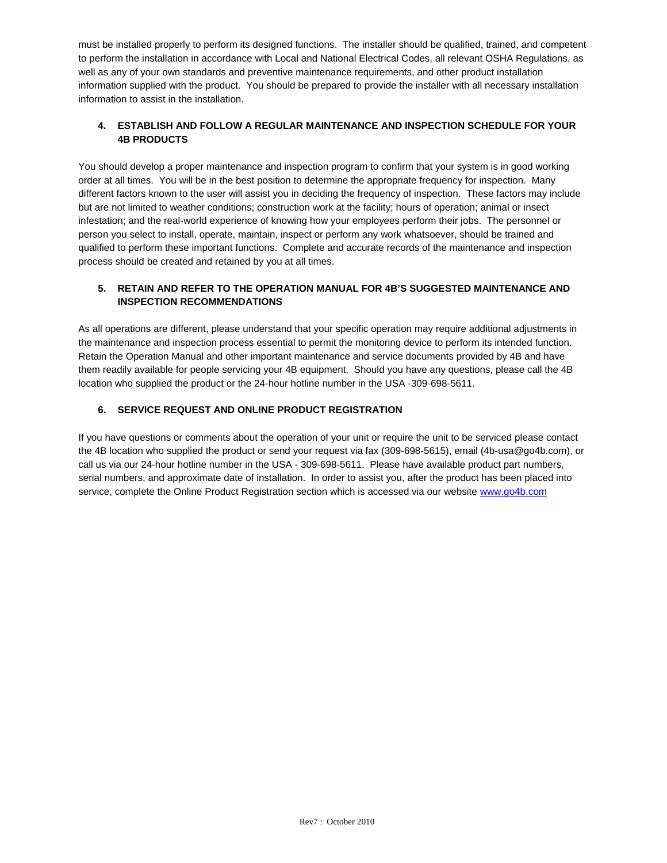must be installed properly to perform its designed functions. The installer should be qualified, trained, and competent to perform the installation in accordance with Local and National Electrical Codes, all relevant OSHA Regulations, as well as any of your own standards and preventive maintenance requirements, and other product installation information supplied with the product. You should be prepared to provide the installer with all necessary installation information to assist in the installation.

## **4. ESTABLISH AND FOLLOW A REGULAR MAINTENANCE AND INSPECTION SCHEDULE FOR YOUR 4B PRODUCTS**

You should develop a proper maintenance and inspection program to confirm that your system is in good working order at all times. You will be in the best position to determine the appropriate frequency for inspection. Many different factors known to the user will assist you in deciding the frequency of inspection. These factors may include but are not limited to weather conditions; construction work at the facility; hours of operation; animal or insect infestation; and the real-world experience of knowing how your employees perform their jobs. The personnel or person you select to install, operate, maintain, inspect or perform any work whatsoever, should be trained and qualified to perform these important functions. Complete and accurate records of the maintenance and inspection process should be created and retained by you at all times.

## **5. RETAIN AND REFER TO THE OPERATION MANUAL FOR 4B'S SUGGESTED MAINTENANCE AND INSPECTION RECOMMENDATIONS**

As all operations are different, please understand that your specific operation may require additional adjustments in the maintenance and inspection process essential to permit the monitoring device to perform its intended function. Retain the Operation Manual and other important maintenance and service documents provided by 4B and have them readily available for people servicing your 4B equipment. Should you have any questions, please call the 4B location who supplied the product or the 24-hour hotline number in the USA -309-698-5611.

# **6. SERVICE REQUEST AND ONLINE PRODUCT REGISTRATION**

If you have questions or comments about the operation of your unit or require the unit to be serviced please contact the 4B location who supplied the product or send your request via fax (309-698-5615), email (4b-usa@go4b.com), or call us via our 24-hour hotline number in the USA - 309-698-5611. Please have available product part numbers, serial numbers, and approximate date of installation. In order to assist you, after the product has been placed into service, complete the Online Product Registration section which is accessed via our website www.go4b.com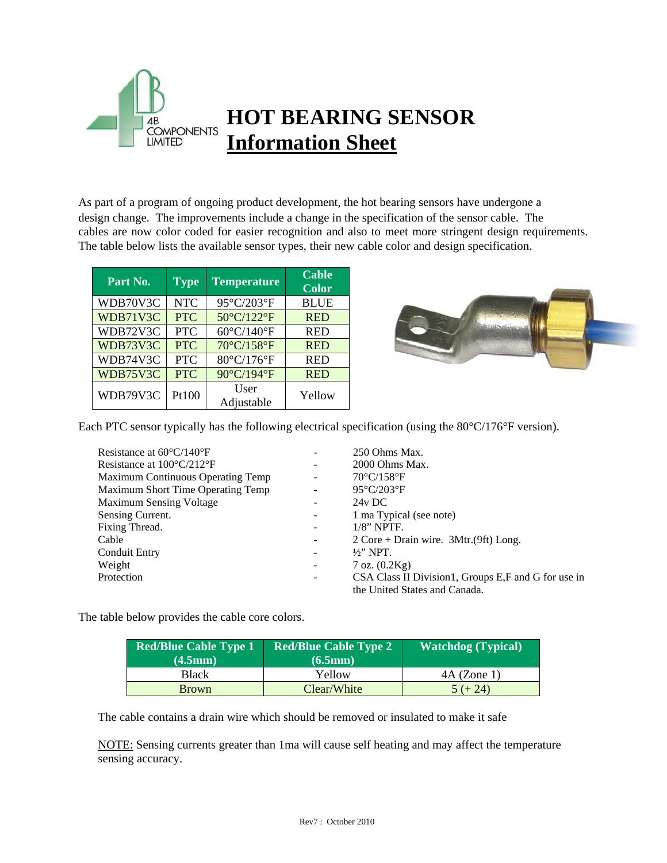

# **HOT BEARING SENSOR Information Sheet**

As part of a program of ongoing product development, the hot bearing sensors have undergone a design change. The improvements include a change in the specification of the sensor cable. The cables are now color coded for easier recognition and also to meet more stringent design requirements. The table below lists the available sensor types, their new cable color and design specification.

| Part No. | <b>Type</b> | <b>Temperature</b> | <b>Cable</b><br><b>Color</b> |
|----------|-------------|--------------------|------------------------------|
| WDB70V3C | <b>NTC</b>  | 95°C/203°F         | <b>BLUE</b>                  |
| WDB71V3C | <b>PTC</b>  | 50°C/122°F         | <b>RED</b>                   |
| WDB72V3C | <b>PTC</b>  | 60°C/140°F         | <b>RED</b>                   |
| WDB73V3C | <b>PTC</b>  | 70°C/158°F         | <b>RED</b>                   |
| WDB74V3C | <b>PTC</b>  | 80°C/176°F         | <b>RED</b>                   |
| WDB75V3C | <b>PTC</b>  | 90°C/194°F         | <b>RED</b>                   |
| WDB79V3C | Pt100       | User<br>Adjustable | Yellow                       |



Each PTC sensor typically has the following electrical specification (using the 80°C/176°F version).

| Resistance at $60^{\circ}$ C/140 <sup>°</sup> F | 250 Ohms Max.                                                              |
|-------------------------------------------------|----------------------------------------------------------------------------|
| Resistance at $100^{\circ}C/212^{\circ}F$       | 2000 Ohms Max.                                                             |
| Maximum Continuous Operating Temp               | $70^{\circ}$ C/158 $^{\circ}$ F                                            |
| Maximum Short Time Operating Temp               | $95^{\circ}$ C/203 $^{\circ}$ F                                            |
| <b>Maximum Sensing Voltage</b>                  | $24v$ DC                                                                   |
| Sensing Current.                                | 1 ma Typical (see note)                                                    |
| Fixing Thread.                                  | $1/8$ " NPTF.                                                              |
| Cable                                           | $2 \text{ Core} + \text{Drain wire}$ . $3 \text{Mtr}. (9 \text{ft})$ Long. |
| <b>Conduit Entry</b>                            | $\frac{1}{2}$ " NPT.                                                       |
| Weight                                          | $7$ oz. $(0.2Kg)$                                                          |
| Protection                                      | CSA Class II Division1, Groups E,F and G for use in                        |
|                                                 | the United States and Canada.                                              |

The table below provides the cable core colors.

| <b>Red/Blue Cable Type 1</b> | <b>Red/Blue Cable Type 2</b> | <b>Watchdog</b> (Typical) |
|------------------------------|------------------------------|---------------------------|
| (4.5mm)                      | (6.5mm)                      |                           |
| Black                        | Yellow                       | $4A$ (Zone 1)             |
| <b>Brown</b>                 | Clear/White                  | $5 (+ 24)$                |

The cable contains a drain wire which should be removed or insulated to make it safe

NOTE: Sensing currents greater than 1ma will cause self heating and may affect the temperature sensing accuracy.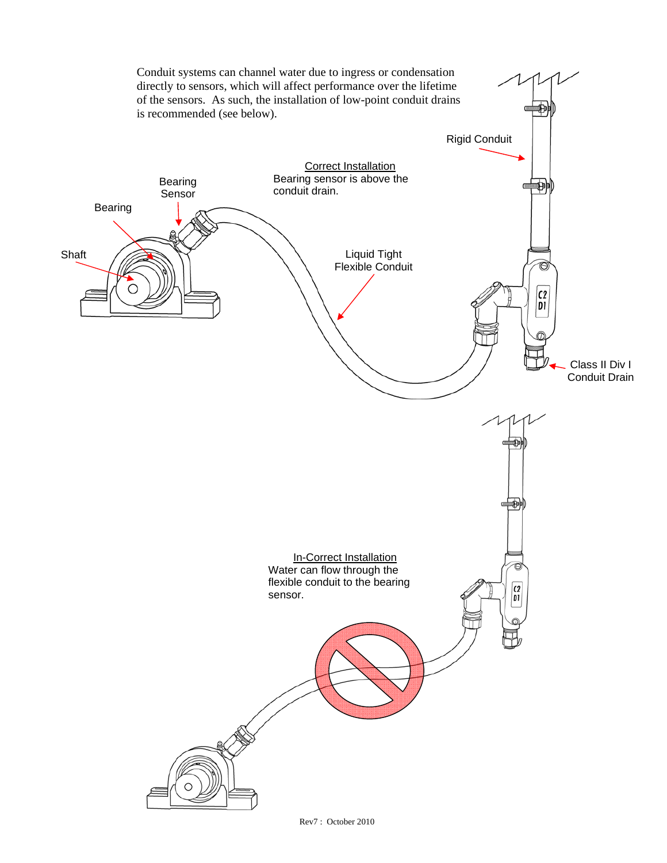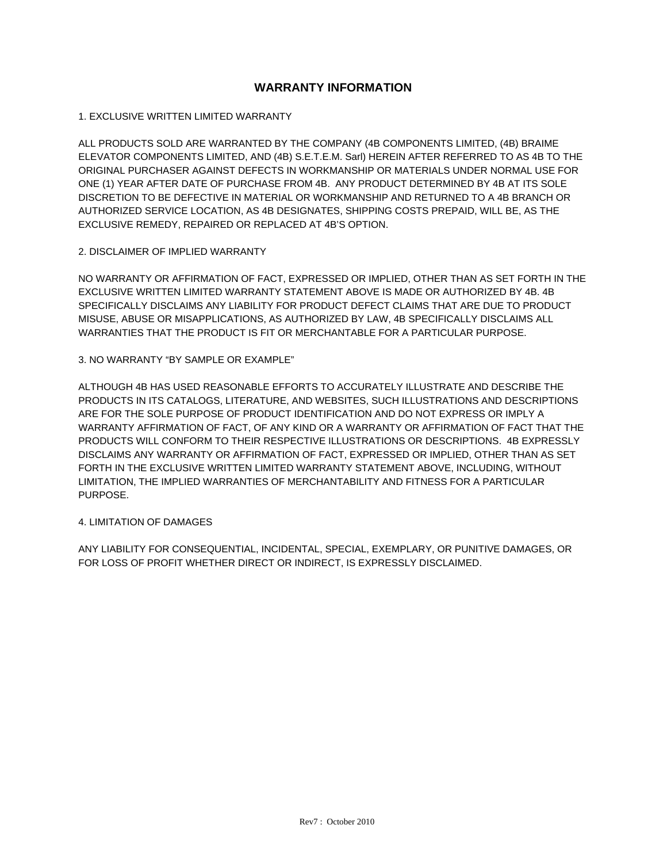# **WARRANTY INFORMATION**

1. EXCLUSIVE WRITTEN LIMITED WARRANTY

ALL PRODUCTS SOLD ARE WARRANTED BY THE COMPANY (4B COMPONENTS LIMITED, (4B) BRAIME ELEVATOR COMPONENTS LIMITED, AND (4B) S.E.T.E.M. Sarl) HEREIN AFTER REFERRED TO AS 4B TO THE ORIGINAL PURCHASER AGAINST DEFECTS IN WORKMANSHIP OR MATERIALS UNDER NORMAL USE FOR ONE (1) YEAR AFTER DATE OF PURCHASE FROM 4B. ANY PRODUCT DETERMINED BY 4B AT ITS SOLE DISCRETION TO BE DEFECTIVE IN MATERIAL OR WORKMANSHIP AND RETURNED TO A 4B BRANCH OR AUTHORIZED SERVICE LOCATION, AS 4B DESIGNATES, SHIPPING COSTS PREPAID, WILL BE, AS THE EXCLUSIVE REMEDY, REPAIRED OR REPLACED AT 4B'S OPTION.

## 2. DISCLAIMER OF IMPLIED WARRANTY

NO WARRANTY OR AFFIRMATION OF FACT, EXPRESSED OR IMPLIED, OTHER THAN AS SET FORTH IN THE EXCLUSIVE WRITTEN LIMITED WARRANTY STATEMENT ABOVE IS MADE OR AUTHORIZED BY 4B. 4B SPECIFICALLY DISCLAIMS ANY LIABILITY FOR PRODUCT DEFECT CLAIMS THAT ARE DUE TO PRODUCT MISUSE, ABUSE OR MISAPPLICATIONS, AS AUTHORIZED BY LAW, 4B SPECIFICALLY DISCLAIMS ALL WARRANTIES THAT THE PRODUCT IS FIT OR MERCHANTABLE FOR A PARTICULAR PURPOSE.

#### 3. NO WARRANTY "BY SAMPLE OR EXAMPLE"

ALTHOUGH 4B HAS USED REASONABLE EFFORTS TO ACCURATELY ILLUSTRATE AND DESCRIBE THE PRODUCTS IN ITS CATALOGS, LITERATURE, AND WEBSITES, SUCH ILLUSTRATIONS AND DESCRIPTIONS ARE FOR THE SOLE PURPOSE OF PRODUCT IDENTIFICATION AND DO NOT EXPRESS OR IMPLY A WARRANTY AFFIRMATION OF FACT, OF ANY KIND OR A WARRANTY OR AFFIRMATION OF FACT THAT THE PRODUCTS WILL CONFORM TO THEIR RESPECTIVE ILLUSTRATIONS OR DESCRIPTIONS. 4B EXPRESSLY DISCLAIMS ANY WARRANTY OR AFFIRMATION OF FACT, EXPRESSED OR IMPLIED, OTHER THAN AS SET FORTH IN THE EXCLUSIVE WRITTEN LIMITED WARRANTY STATEMENT ABOVE, INCLUDING, WITHOUT LIMITATION, THE IMPLIED WARRANTIES OF MERCHANTABILITY AND FITNESS FOR A PARTICULAR PURPOSE.

## 4. LIMITATION OF DAMAGES

ANY LIABILITY FOR CONSEQUENTIAL, INCIDENTAL, SPECIAL, EXEMPLARY, OR PUNITIVE DAMAGES, OR FOR LOSS OF PROFIT WHETHER DIRECT OR INDIRECT, IS EXPRESSLY DISCLAIMED.